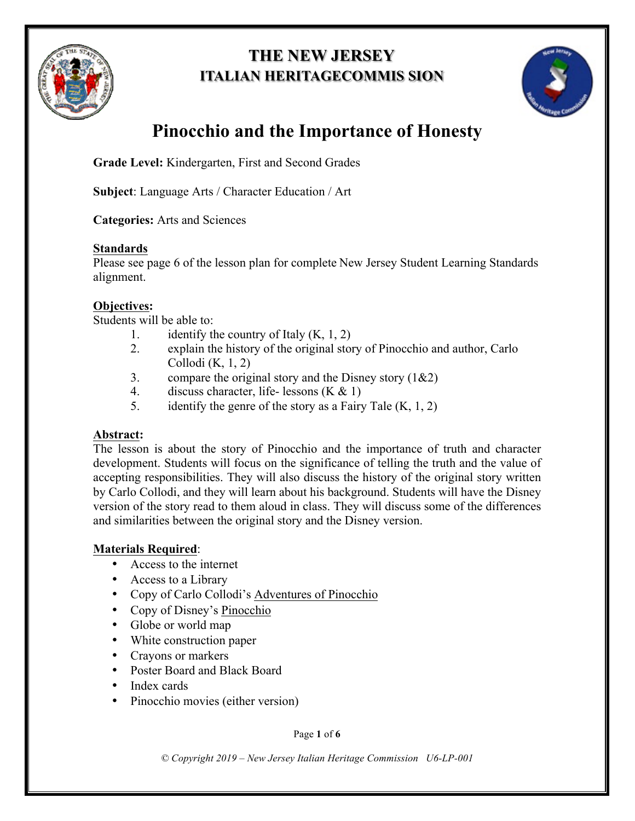

# **THE NEW JERSEY ITALIAN HERITAGECOMMIS SION**



# **Pinocchio and the Importance of Honesty**

**Grade Level:** Kindergarten, First and Second Grades

**Subject**: Language Arts / Character Education / Art

**Categories:** Arts and Sciences

#### **Standards**

Please see page 6 of the lesson plan for complete New Jersey Student Learning Standards alignment.

# **Objectives:**

Students will be able to:

- 1. identify the country of Italy  $(K, 1, 2)$
- 2. explain the history of the original story of Pinocchio and author, Carlo Collodi (K, 1, 2)
- 3. compare the original story and the Disney story  $(1&2)$
- 4. discuss character, life- lessons  $(K & 1)$
- 5. identify the genre of the story as a Fairy Tale  $(K, 1, 2)$

## **Abstract:**

The lesson is about the story of Pinocchio and the importance of truth and character development. Students will focus on the significance of telling the truth and the value of accepting responsibilities. They will also discuss the history of the original story written by Carlo Collodi, and they will learn about his background. Students will have the Disney version of the story read to them aloud in class. They will discuss some of the differences and similarities between the original story and the Disney version.

## **Materials Required**:

- Access to the internet
- Access to a Library
- Copy of Carlo Collodi's Adventures of Pinocchio
- Copy of Disney's Pinocchio
- Globe or world map
- White construction paper
- Crayons or markers
- Poster Board and Black Board
- Index cards
- Pinocchio movies (either version)

Page **1** of **6**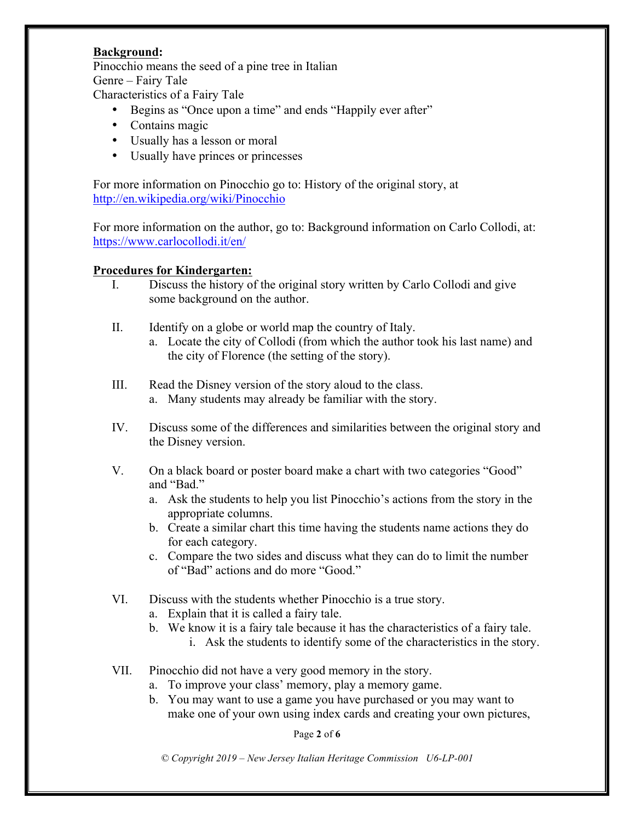#### **Background:**

Pinocchio means the seed of a pine tree in Italian Genre – Fairy Tale Characteristics of a Fairy Tale

- Begins as "Once upon a time" and ends "Happily ever after"
- Contains magic
- Usually has a lesson or moral
- Usually have princes or princesses

For more information on Pinocchio go to: History of the original story, at http://en.wikipedia.org/wiki/Pinocchio

For more information on the author, go to: Background information on Carlo Collodi, at: https://www.carlocollodi.it/en/

#### **Procedures for Kindergarten:**

- I. Discuss the history of the original story written by Carlo Collodi and give some background on the author.
- II. Identify on a globe or world map the country of Italy.
	- a. Locate the city of Collodi (from which the author took his last name) and the city of Florence (the setting of the story).
- III. Read the Disney version of the story aloud to the class. a. Many students may already be familiar with the story.
- IV. Discuss some of the differences and similarities between the original story and the Disney version.
- V. On a black board or poster board make a chart with two categories "Good" and "Bad."
	- a. Ask the students to help you list Pinocchio's actions from the story in the appropriate columns.
	- b. Create a similar chart this time having the students name actions they do for each category.
	- c. Compare the two sides and discuss what they can do to limit the number of "Bad" actions and do more "Good."
- VI. Discuss with the students whether Pinocchio is a true story.
	- a. Explain that it is called a fairy tale.
	- b. We know it is a fairy tale because it has the characteristics of a fairy tale.
		- i. Ask the students to identify some of the characteristics in the story.
- VII. Pinocchio did not have a very good memory in the story.
	- a. To improve your class' memory, play a memory game.
	- b. You may want to use a game you have purchased or you may want to make one of your own using index cards and creating your own pictures,

Page **2** of **6**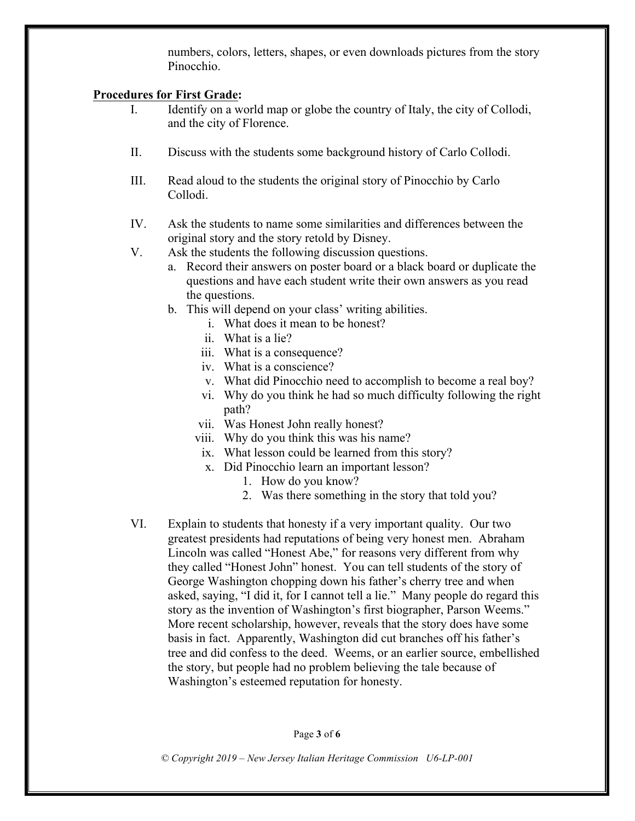numbers, colors, letters, shapes, or even downloads pictures from the story Pinocchio.

#### **Procedures for First Grade:**

- I. Identify on a world map or globe the country of Italy, the city of Collodi, and the city of Florence.
- II. Discuss with the students some background history of Carlo Collodi.
- III. Read aloud to the students the original story of Pinocchio by Carlo Collodi.
- IV. Ask the students to name some similarities and differences between the original story and the story retold by Disney.
- V. Ask the students the following discussion questions.
	- a. Record their answers on poster board or a black board or duplicate the questions and have each student write their own answers as you read the questions.
	- b. This will depend on your class' writing abilities.
		- i. What does it mean to be honest?
		- ii. What is a lie?
		- iii. What is a consequence?
		- iv. What is a conscience?
		- v. What did Pinocchio need to accomplish to become a real boy?
		- vi. Why do you think he had so much difficulty following the right path?
		- vii. Was Honest John really honest?
		- viii. Why do you think this was his name?
		- ix. What lesson could be learned from this story?
		- x. Did Pinocchio learn an important lesson?
			- 1. How do you know?
			- 2. Was there something in the story that told you?
- VI. Explain to students that honesty if a very important quality. Our two greatest presidents had reputations of being very honest men. Abraham Lincoln was called "Honest Abe," for reasons very different from why they called "Honest John" honest. You can tell students of the story of George Washington chopping down his father's cherry tree and when asked, saying, "I did it, for I cannot tell a lie." Many people do regard this story as the invention of Washington's first biographer, Parson Weems." More recent scholarship, however, reveals that the story does have some basis in fact. Apparently, Washington did cut branches off his father's tree and did confess to the deed. Weems, or an earlier source, embellished the story, but people had no problem believing the tale because of Washington's esteemed reputation for honesty.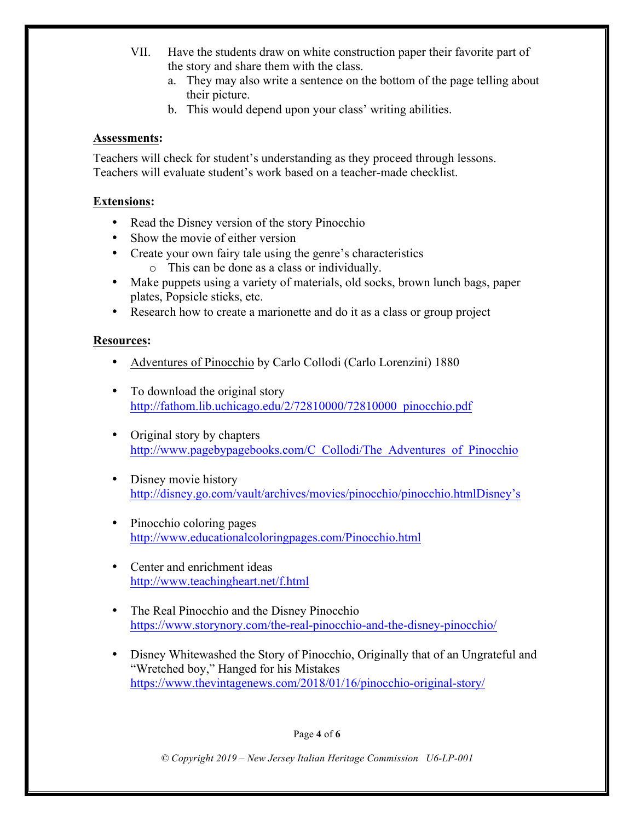- VII. Have the students draw on white construction paper their favorite part of the story and share them with the class.
	- a. They may also write a sentence on the bottom of the page telling about their picture.
	- b. This would depend upon your class' writing abilities.

#### **Assessments:**

Teachers will check for student's understanding as they proceed through lessons. Teachers will evaluate student's work based on a teacher-made checklist.

#### **Extensions:**

- Read the Disney version of the story Pinocchio
- Show the movie of either version
- Create your own fairy tale using the genre's characteristics o This can be done as a class or individually.
- Make puppets using a variety of materials, old socks, brown lunch bags, paper plates, Popsicle sticks, etc.
- Research how to create a marionette and do it as a class or group project

#### **Resources:**

- Adventures of Pinocchio by Carlo Collodi (Carlo Lorenzini) 1880
- To download the original story http://fathom.lib.uchicago.edu/2/72810000/72810000\_pinocchio.pdf
- Original story by chapters http://www.pagebypagebooks.com/C\_Collodi/The\_Adventures\_of\_Pinocchio
- Disney movie history http://disney.go.com/vault/archives/movies/pinocchio/pinocchio.htmlDisney's
- Pinocchio coloring pages http://www.educationalcoloringpages.com/Pinocchio.html
- Center and enrichment ideas http://www.teachingheart.net/f.html
- The Real Pinocchio and the Disney Pinocchio https://www.storynory.com/the-real-pinocchio-and-the-disney-pinocchio/
- Disney Whitewashed the Story of Pinocchio, Originally that of an Ungrateful and "Wretched boy," Hanged for his Mistakes https://www.thevintagenews.com/2018/01/16/pinocchio-original-story/

#### Page **4** of **6**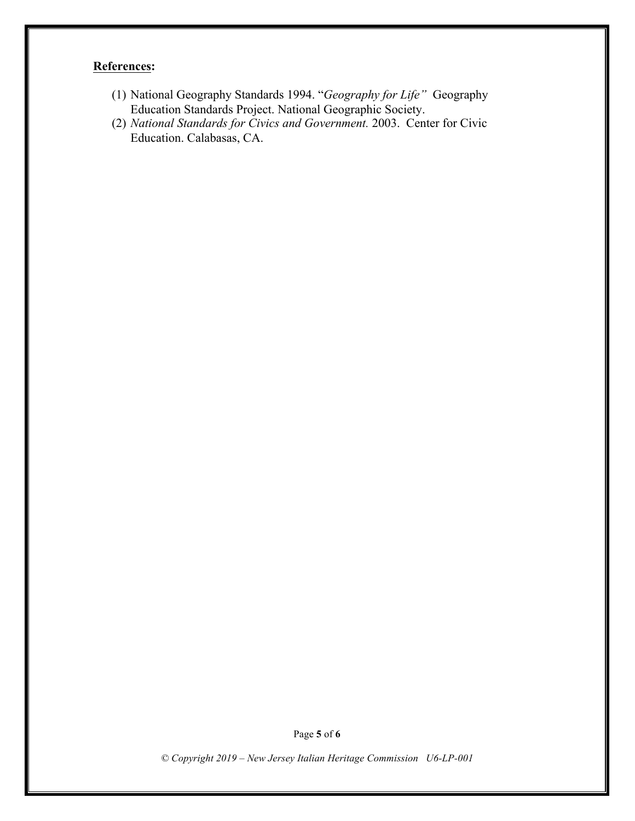# **References:**

- (1) National Geography Standards 1994. "*Geography for Life"* Geography Education Standards Project. National Geographic Society.
- (2) *National Standards for Civics and Government.* 2003. Center for Civic Education. Calabasas, CA.

Page **5** of **6**